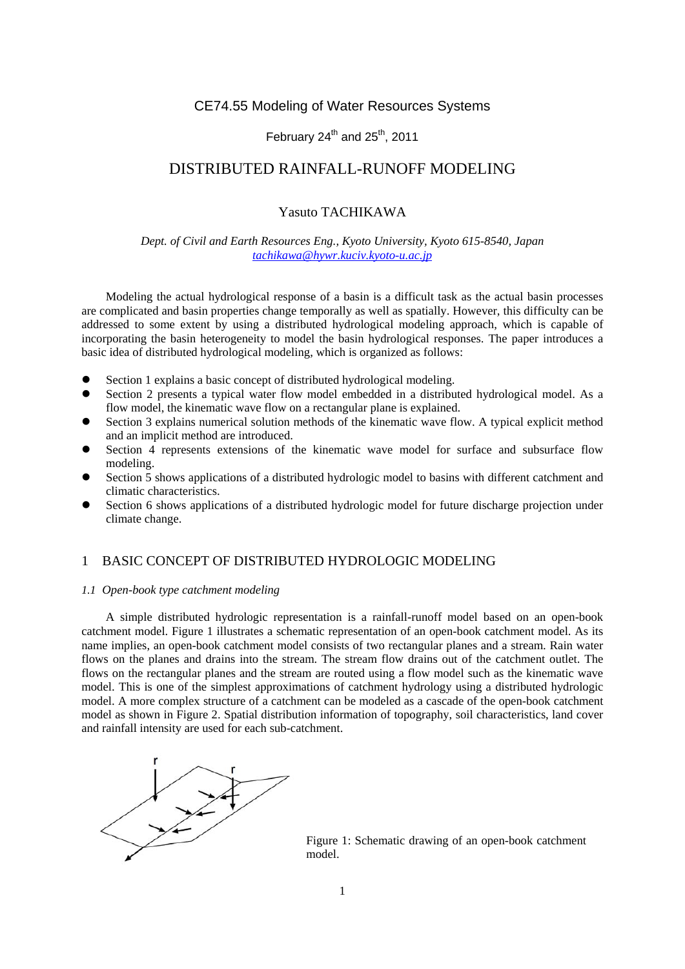# CE74.55 Modeling of Water Resources Systems

# February  $24^{th}$  and  $25^{th}$ , 2011

# DISTRIBUTED RAINFALL-RUNOFF MODELING

## Yasuto TACHIKAWA

### *Dept. of Civil and Earth Resources Eng., Kyoto University, Kyoto 615-8540, Japan tachikawa@hywr.kuciv.kyoto-u.ac.jp*

Modeling the actual hydrological response of a basin is a difficult task as the actual basin processes are complicated and basin properties change temporally as well as spatially. However, this difficulty can be addressed to some extent by using a distributed hydrological modeling approach, which is capable of incorporating the basin heterogeneity to model the basin hydrological responses. The paper introduces a basic idea of distributed hydrological modeling, which is organized as follows:

- Section 1 explains a basic concept of distributed hydrological modeling.
- Section 2 presents a typical water flow model embedded in a distributed hydrological model. As a flow model, the kinematic wave flow on a rectangular plane is explained.
- Section 3 explains numerical solution methods of the kinematic wave flow. A typical explicit method and an implicit method are introduced.
- Section 4 represents extensions of the kinematic wave model for surface and subsurface flow modeling.
- Section 5 shows applications of a distributed hydrologic model to basins with different catchment and climatic characteristics.
- Section 6 shows applications of a distributed hydrologic model for future discharge projection under climate change.

## 1 BASIC CONCEPT OF DISTRIBUTED HYDROLOGIC MODELING

#### *1.1 Open-book type catchment modeling*

A simple distributed hydrologic representation is a rainfall-runoff model based on an open-book catchment model. Figure 1 illustrates a schematic representation of an open-book catchment model. As its name implies, an open-book catchment model consists of two rectangular planes and a stream. Rain water flows on the planes and drains into the stream. The stream flow drains out of the catchment outlet. The flows on the rectangular planes and the stream are routed using a flow model such as the kinematic wave model. This is one of the simplest approximations of catchment hydrology using a distributed hydrologic model. A more complex structure of a catchment can be modeled as a cascade of the open-book catchment model as shown in Figure 2. Spatial distribution information of topography, soil characteristics, land cover and rainfall intensity are used for each sub-catchment.



Figure 1: Schematic drawing of an open-book catchment model.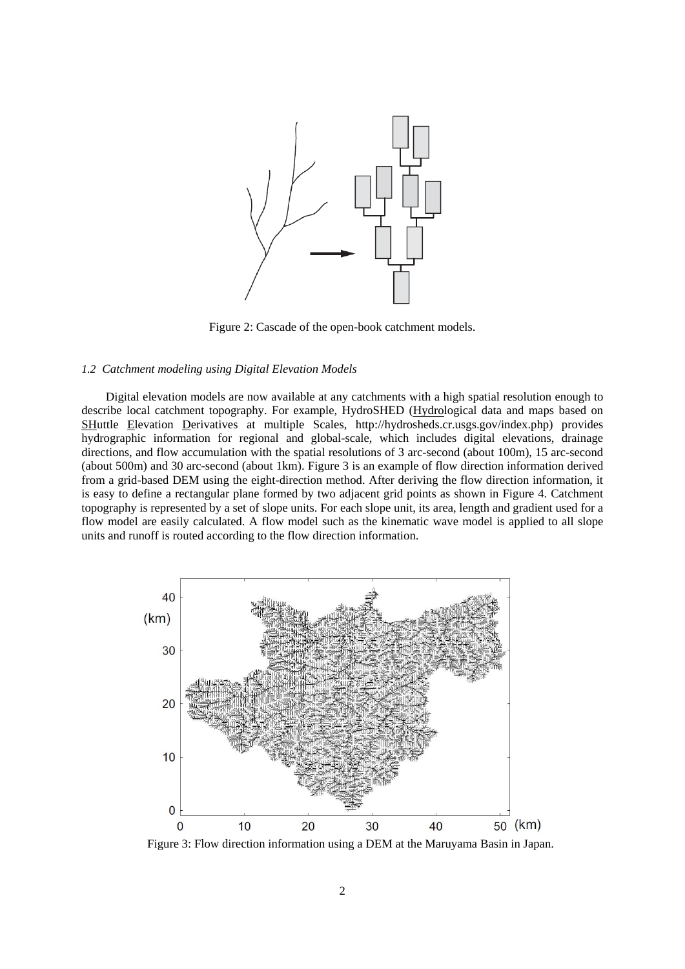

Figure 2: Cascade of the open-book catchment models.

#### *1.2 Catchment modeling using Digital Elevation Models*

Digital elevation models are now available at any catchments with a high spatial resolution enough to describe local catchment topography. For example, HydroSHED (Hydrological data and maps based on SHuttle Elevation Derivatives at multiple Scales, http://hydrosheds.cr.usgs.gov/index.php) provides hydrographic information for regional and global-scale, which includes digital elevations, drainage directions, and flow accumulation with the spatial resolutions of 3 arc-second (about 100m), 15 arc-second (about 500m) and 30 arc-second (about 1km). Figure 3 is an example of flow direction information derived from a grid-based DEM using the eight-direction method. After deriving the flow direction information, it is easy to define a rectangular plane formed by two adjacent grid points as shown in Figure 4. Catchment topography is represented by a set of slope units. For each slope unit, its area, length and gradient used for a flow model are easily calculated. A flow model such as the kinematic wave model is applied to all slope units and runoff is routed according to the flow direction information.



Figure 3: Flow direction information using a DEM at the Maruyama Basin in Japan.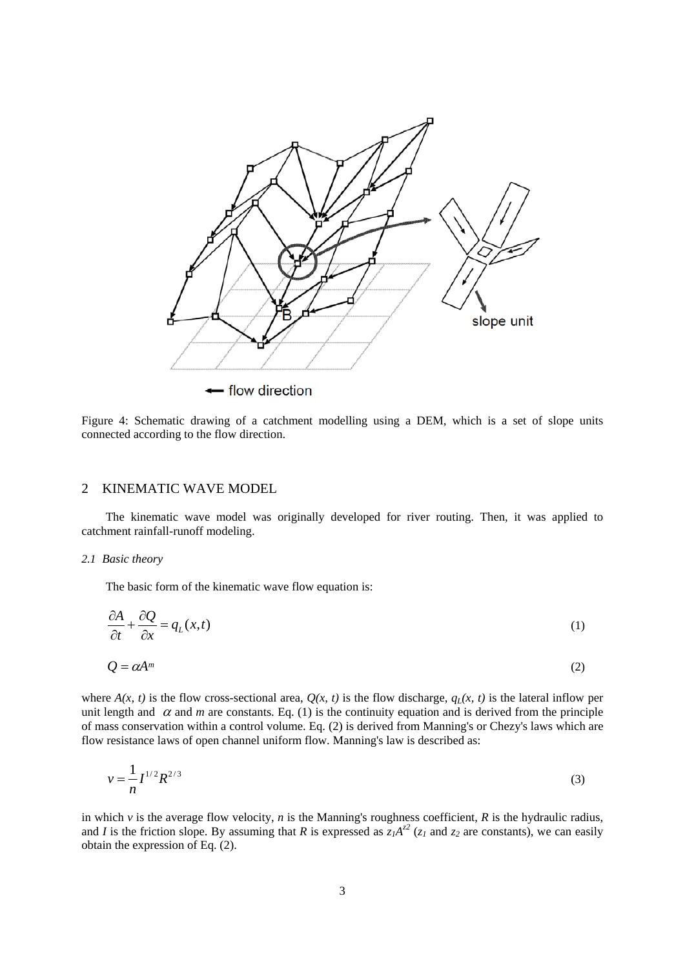

Figure 4: Schematic drawing of a catchment modelling using a DEM, which is a set of slope units connected according to the flow direction.

## 2 KINEMATIC WAVE MODEL

The kinematic wave model was originally developed for river routing. Then, it was applied to catchment rainfall-runoff modeling.

#### *2.1 Basic theory*

The basic form of the kinematic wave flow equation is:

$$
\frac{\partial A}{\partial t} + \frac{\partial Q}{\partial x} = q_L(x, t) \tag{1}
$$

$$
Q = \alpha A^m \tag{2}
$$

where  $A(x, t)$  is the flow cross-sectional area,  $Q(x, t)$  is the flow discharge,  $q_L(x, t)$  is the lateral inflow per unit length and  $\alpha$  and *m* are constants. Eq. (1) is the continuity equation and is derived from the principle of mass conservation within a control volume. Eq. (2) is derived from Manning's or Chezy's laws which are flow resistance laws of open channel uniform flow. Manning's law is described as:

$$
v = \frac{1}{n} I^{1/2} R^{2/3}
$$
 (3)

in which *v* is the average flow velocity, *n* is the Manning's roughness coefficient, *R* is the hydraulic radius, and *I* is the friction slope. By assuming that *R* is expressed as  $z_1A^{z^2}$  ( $z_1$  and  $z_2$  are constants), we can easily obtain the expression of Eq. (2).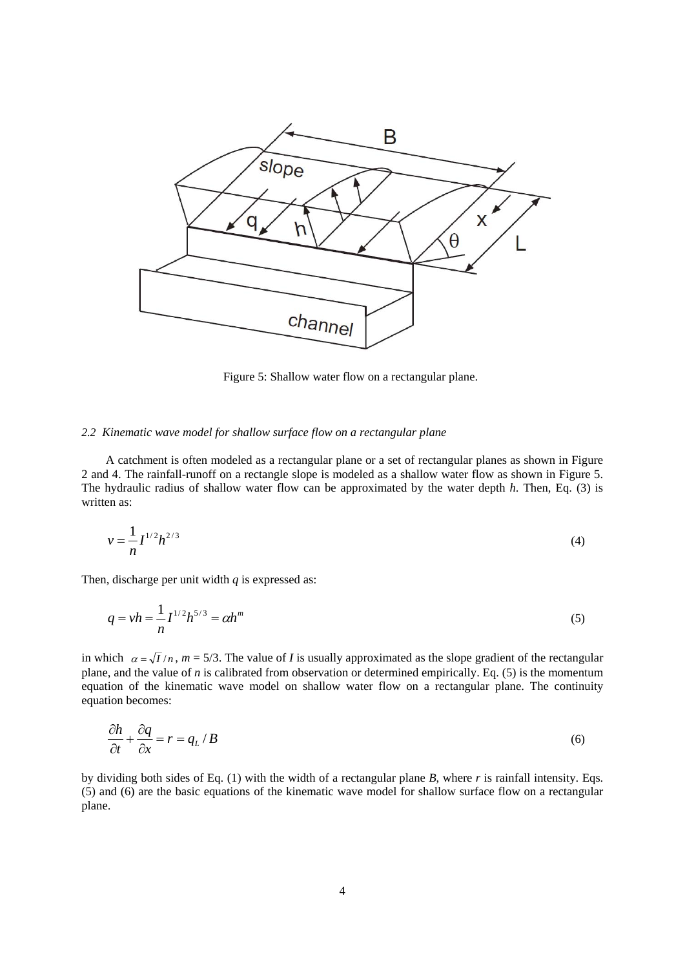

Figure 5: Shallow water flow on a rectangular plane.

#### *2.2 Kinematic wave model for shallow surface flow on a rectangular plane*

A catchment is often modeled as a rectangular plane or a set of rectangular planes as shown in Figure 2 and 4. The rainfall-runoff on a rectangle slope is modeled as a shallow water flow as shown in Figure 5. The hydraulic radius of shallow water flow can be approximated by the water depth *h*. Then, Eq. (3) is written as:

$$
v = -\frac{1}{n} I^{1/2} h^{2/3}
$$
 (4)

Then, discharge per unit width *q* is expressed as:

$$
q = v h = \frac{1}{n} I^{1/2} h^{5/3} = \alpha h^m
$$
\n(5)

in which  $\alpha = \sqrt{I/n}$ ,  $m = 5/3$ . The value of *I* is usually approximated as the slope gradient of the rectangular plane, and the value of *n* is calibrated from observation or determined empirically. Eq. (5) is the momentum equation of the kinematic wave model on shallow water flow on a rectangular plane. The continuity equation becomes:

$$
\frac{\partial h}{\partial t} + \frac{\partial q}{\partial x} = r = q_L / B \tag{6}
$$

by dividing both sides of Eq. (1) with the width of a rectangular plane *B*, where *r* is rainfall intensity. Eqs. (5) and (6) are the basic equations of the kinematic wave model for shallow surface flow on a rectangular plane.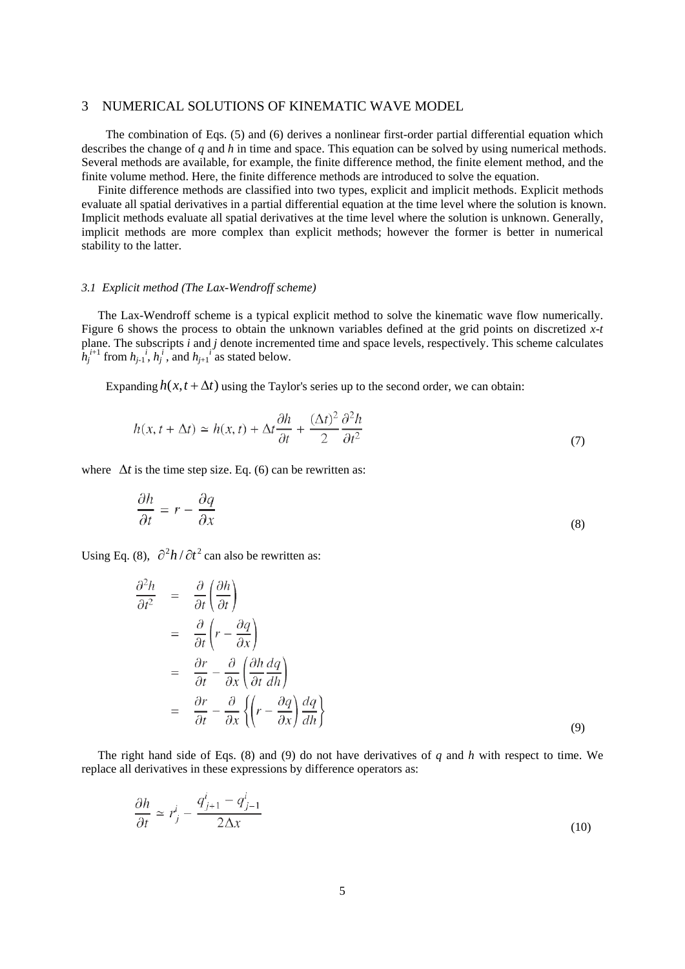### 3 NUMERICAL SOLUTIONS OF KINEMATIC WAVE MODEL

The combination of Eqs. (5) and (6) derives a nonlinear first-order partial differential equation which describes the change of *q* and *h* in time and space. This equation can be solved by using numerical methods. Several methods are available, for example, the finite difference method, the finite element method, and the finite volume method. Here, the finite difference methods are introduced to solve the equation.

Finite difference methods are classified into two types, explicit and implicit methods. Explicit methods evaluate all spatial derivatives in a partial differential equation at the time level where the solution is known. Implicit methods evaluate all spatial derivatives at the time level where the solution is unknown. Generally, implicit methods are more complex than explicit methods; however the former is better in numerical stability to the latter.

#### *3.1 Explicit method (The Lax-Wendroff scheme)*

The Lax-Wendroff scheme is a typical explicit method to solve the kinematic wave flow numerically. Figure 6 shows the process to obtain the unknown variables defined at the grid points on discretized *x*-*t* plane. The subscripts *i* and *j* denote incremented time and space levels, respectively. This scheme calculates  $h_j^{i+1}$  from  $h_{j-1}^{i}$ ,  $h_j^{i}$ , and  $h_{j+1}^{i}$  as stated below.

Expanding  $h(x, t + \Delta t)$  using the Taylor's series up to the second order, we can obtain:

$$
h(x, t + \Delta t) \simeq h(x, t) + \Delta t \frac{\partial h}{\partial t} + \frac{(\Delta t)^2}{2} \frac{\partial^2 h}{\partial t^2}
$$
\n<sup>(7)</sup>

where  $\Delta t$  is the time step size. Eq. (6) can be rewritten as:

$$
\frac{\partial h}{\partial t} = r - \frac{\partial q}{\partial x} \tag{8}
$$

Using Eq. (8),  $\frac{\partial^2 h}{\partial t^2}$  can also be rewritten as:

$$
\frac{\partial^2 h}{\partial t^2} = \frac{\partial}{\partial t} \left( \frac{\partial h}{\partial t} \right)
$$
  
\n
$$
= \frac{\partial}{\partial t} \left( r - \frac{\partial q}{\partial x} \right)
$$
  
\n
$$
= \frac{\partial r}{\partial t} - \frac{\partial}{\partial x} \left( \frac{\partial h}{\partial t} \frac{dq}{dh} \right)
$$
  
\n
$$
= \frac{\partial r}{\partial t} - \frac{\partial}{\partial x} \left\{ \left( r - \frac{\partial q}{\partial x} \right) \frac{dq}{dh} \right\}
$$
  
\n(9)

The right hand side of Eqs. (8) and (9) do not have derivatives of *q* and *h* with respect to time. We replace all derivatives in these expressions by difference operators as:

$$
\frac{\partial h}{\partial t} \simeq r_j^i - \frac{q_{j+1}^i - q_{j-1}^i}{2\Delta x} \tag{10}
$$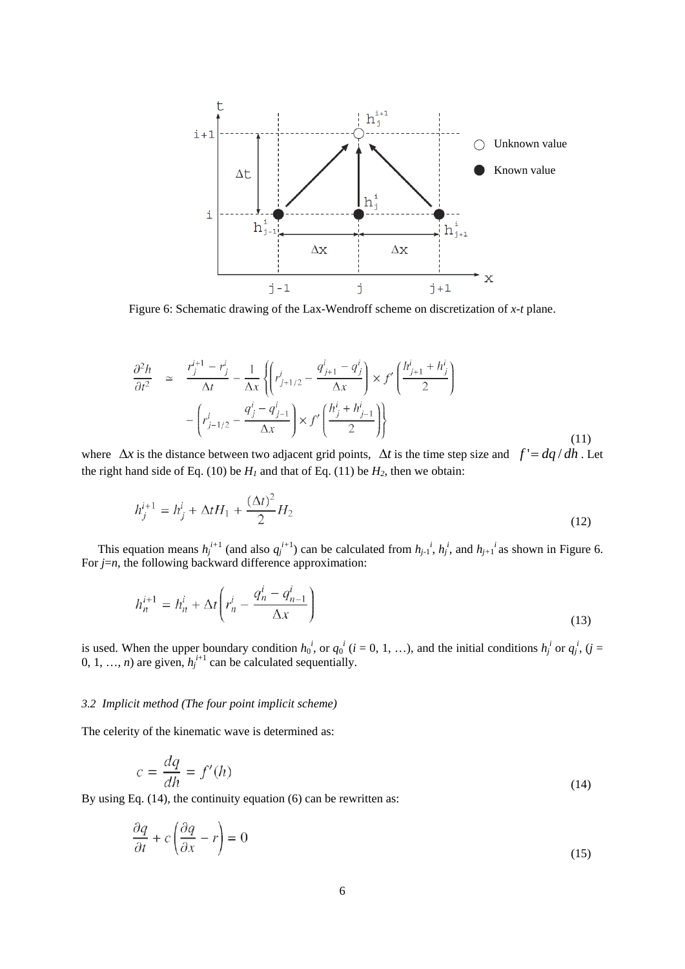

Figure 6: Schematic drawing of the Lax-Wendroff scheme on discretization of *x*-*t* plane.

$$
\frac{\partial^2 h}{\partial t^2} \simeq \frac{r_j^{i+1} - r_j^i}{\Delta t} - \frac{1}{\Delta x} \left\{ \left( r_{j+1/2}^i - \frac{q_{j+1}^i - q_j^i}{\Delta x} \right) \times f' \left( \frac{h_{j+1}^i + h_j^i}{2} \right) - \left( r_{j-1/2}^i - \frac{q_j^i - q_{j-1}^i}{\Delta x} \right) \times f' \left( \frac{h_j^i + h_{j-1}^i}{2} \right) \right\}
$$
\n(11)

where  $\Delta x$  is the distance between two adjacent grid points,  $\Delta t$  is the time step size and  $f' = dq/dh$ . Let the right hand side of Eq. (10) be  $H_1$  and that of Eq. (11) be  $H_2$ , then we obtain:

$$
h_j^{i+1} = h_j^i + \Delta t H_1 + \frac{(\Delta t)^2}{2} H_2
$$
\n(12)

This equation means  $h_j^{i+1}$  (and also  $q_j^{i+1}$ ) can be calculated from  $h_{j-1}^i$ ,  $h_j^i$ , and  $h_{j+1}^i$  as shown in Figure 6. For *j*=*n*, the following backward difference approximation:

$$
h_n^{i+1} = h_n^i + \Delta t \left( r_n^i - \frac{q_n^i - q_{n-1}^i}{\Delta x} \right)
$$
\n(13)

is used. When the upper boundary condition  $h_0^i$ , or  $q_0^i$  ( $i = 0, 1, ...$ ), and the initial conditions  $h_j^i$  or  $q_j^i$ , ( $j =$ 0, 1, ..., *n*) are given,  $h_j^{i+1}$  can be calculated sequentially.

### *3.2 Implicit method (The four point implicit scheme)*

The celerity of the kinematic wave is determined as:

$$
c = \frac{dq}{dh} = f'(h) \tag{14}
$$

By using Eq. (14), the continuity equation (6) can be rewritten as:

$$
\frac{\partial q}{\partial t} + c \left( \frac{\partial q}{\partial x} - r \right) = 0 \tag{15}
$$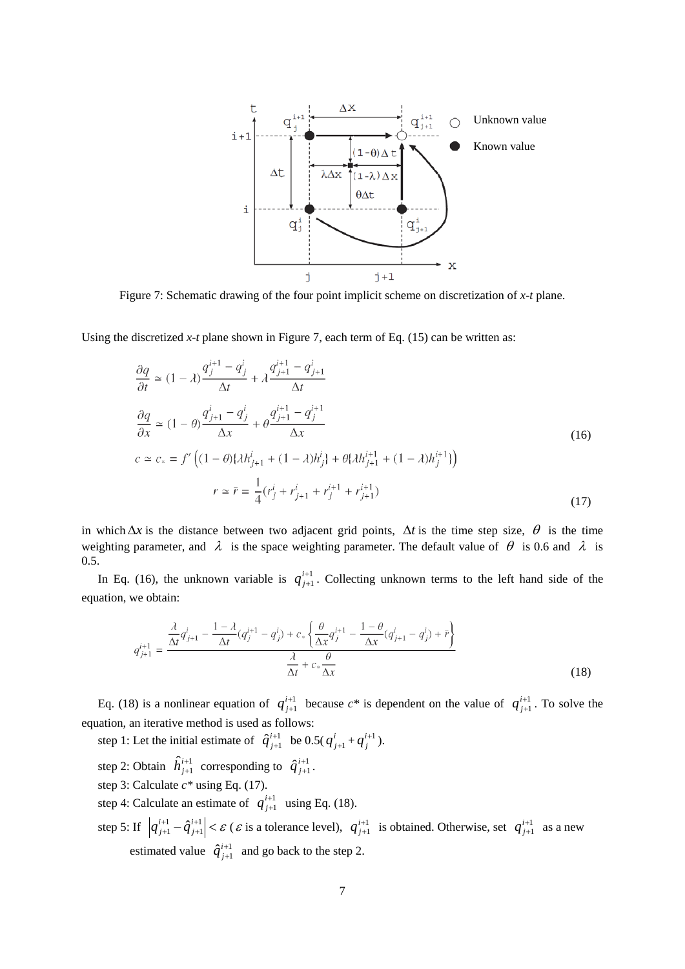

Using the discretized  $x$ -*t* plane shown in Figure 7, each term of Eq. (15) can be written as:

$$
\frac{\partial q}{\partial t} \simeq (1 - \lambda) \frac{q_j^{i+1} - q_j^i}{\Delta t} + \lambda \frac{q_{j+1}^{i+1} - q_{j+1}^i}{\Delta t}
$$
\n
$$
\frac{\partial q}{\partial x} \simeq (1 - \theta) \frac{q_{j+1}^i - q_j^i}{\Delta x} + \theta \frac{q_{j+1}^{i+1} - q_j^{i+1}}{\Delta x}
$$
\n
$$
c \simeq c_* = f' \left( (1 - \theta) \{\lambda h_{j+1}^i + (1 - \lambda) h_j^i\} + \theta \{\lambda h_{j+1}^{i+1} + (1 - \lambda) h_j^{i+1}\} \right)
$$
\n
$$
r \simeq \bar{r} = \frac{1}{4} (r_j^i + r_{j+1}^i + r_j^{i+1} + r_{j+1}^{i+1})
$$
\n(17)

in which  $\Delta x$  is the distance between two adjacent grid points,  $\Delta t$  is the time step size,  $\theta$  is the time weighting parameter, and  $\lambda$  is the space weighting parameter. The default value of  $\theta$  is 0.6 and  $\lambda$  is 0.5.

In Eq. (16), the unknown variable is  $q_{j+1}^{i+1}$ + +  $q_{j+1}^{i+1}$ . Collecting unknown terms to the left hand side of the equation, we obtain:

$$
q_{j+1}^{i+1} = \frac{\frac{\lambda}{\Delta t} q_{j+1}^i - \frac{1-\lambda}{\Delta t} (q_j^{i+1} - q_j^i) + c_* \left\{ \frac{\theta}{\Delta x} q_j^{i+1} - \frac{1-\theta}{\Delta x} (q_{j+1}^i - q_j^i) + \bar{r} \right\}}{\frac{\lambda}{\Delta t} + c_* \frac{\theta}{\Delta x}}
$$
(18)

Eq. (18) is a nonlinear equation of  $q_{j+1}^{i+1}$ + +  $q_{j+1}^{i+1}$  because  $c^*$  is dependent on the value of  $q_{j+1}^{i+1}$ + +  $q_{j+1}^{i+1}$ . To solve the equation, an iterative method is used as follows:

step 1: Let the initial estimate of  $\hat{q}_{j+1}^{i+1}$  $\hat{q}^{i+1}_{j+1}$  be  $0.5(q^i_{j+1} + q^{i+1}_j)$ .

- step 2: Obtain  $\hat{h}^{i+1}_{j+1}$  corresponding to  $\hat{q}^{i+1}_{j+1}$  $\hat{q}^{i+1}_{j+1}$ .
- step 3: Calculate *c\** using Eq. (17).
- step 4: Calculate an estimate of  $q_{j+1}^{i+1}$ + +  $q_{j+1}^{i+1}$  using Eq. (18).
- step 5: If  $|q_{j+1}^{i+1} \hat{q}_{j+1}^{i+1}| < \varepsilon$ + + 1 1  $\hat{\bar{q}}^i_{\ j}$  $q_{j+1}^{i+1} - \hat{q}_{j+1}^{i+1}$  <  $\varepsilon$  ( $\varepsilon$  is a tolerance level),  $q_{j+1}^{i+1}$ + +  $q^{i+1}_{j+1}$  is obtained. Otherwise, set  $q^{i+1}_{j+1}$ + +  $q^{i+1}_{j+1}$  as a new estimated value  $\hat{q}_{j+1}^{i+1}$  $\hat{q}^{i+1}_{j+1}$  and go back to the step 2.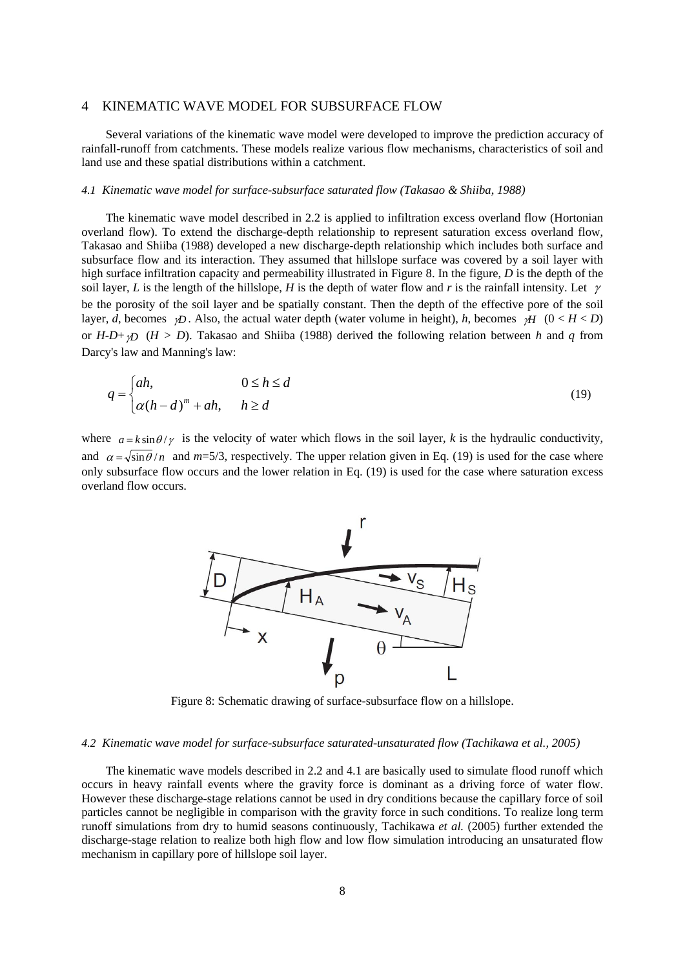#### 4 KINEMATIC WAVE MODEL FOR SUBSURFACE FLOW

Several variations of the kinematic wave model were developed to improve the prediction accuracy of rainfall-runoff from catchments. These models realize various flow mechanisms, characteristics of soil and land use and these spatial distributions within a catchment.

### *4.1 Kinematic wave model for surface-subsurface saturated flow (Takasao & Shiiba, 1988)*

The kinematic wave model described in 2.2 is applied to infiltration excess overland flow (Hortonian overland flow). To extend the discharge-depth relationship to represent saturation excess overland flow, Takasao and Shiiba (1988) developed a new discharge-depth relationship which includes both surface and subsurface flow and its interaction. They assumed that hillslope surface was covered by a soil layer with high surface infiltration capacity and permeability illustrated in Figure 8. In the figure, *D* is the depth of the soil layer, *L* is the length of the hillslope, *H* is the depth of water flow and *r* is the rainfall intensity. Let  $\gamma$ be the porosity of the soil layer and be spatially constant. Then the depth of the effective pore of the soil layer, *d*, becomes *γD*. Also, the actual water depth (water volume in height), *h*, becomes *γH* (0 < *H* < *D*) or *H-D*+γ*D* (*H > D*). Takasao and Shiiba (1988) derived the following relation between *h* and *q* from Darcy's law and Manning's law:

$$
q = \begin{cases} ah, & 0 \le h \le d \\ \alpha(h-d)^m + ah, & h \ge d \end{cases}
$$
 (19)

where  $a = k \sin \theta / \gamma$  is the velocity of water which flows in the soil layer, *k* is the hydraulic conductivity, and  $\alpha = \sqrt{\sin \theta}/n$  and  $m=5/3$ , respectively. The upper relation given in Eq. (19) is used for the case where only subsurface flow occurs and the lower relation in Eq. (19) is used for the case where saturation excess overland flow occurs.



Figure 8: Schematic drawing of surface-subsurface flow on a hillslope.

#### *4.2 Kinematic wave model for surface-subsurface saturated-unsaturated flow (Tachikawa et al., 2005)*

The kinematic wave models described in 2.2 and 4.1 are basically used to simulate flood runoff which occurs in heavy rainfall events where the gravity force is dominant as a driving force of water flow. However these discharge-stage relations cannot be used in dry conditions because the capillary force of soil particles cannot be negligible in comparison with the gravity force in such conditions. To realize long term runoff simulations from dry to humid seasons continuously, Tachikawa *et al.* (2005) further extended the discharge-stage relation to realize both high flow and low flow simulation introducing an unsaturated flow mechanism in capillary pore of hillslope soil layer.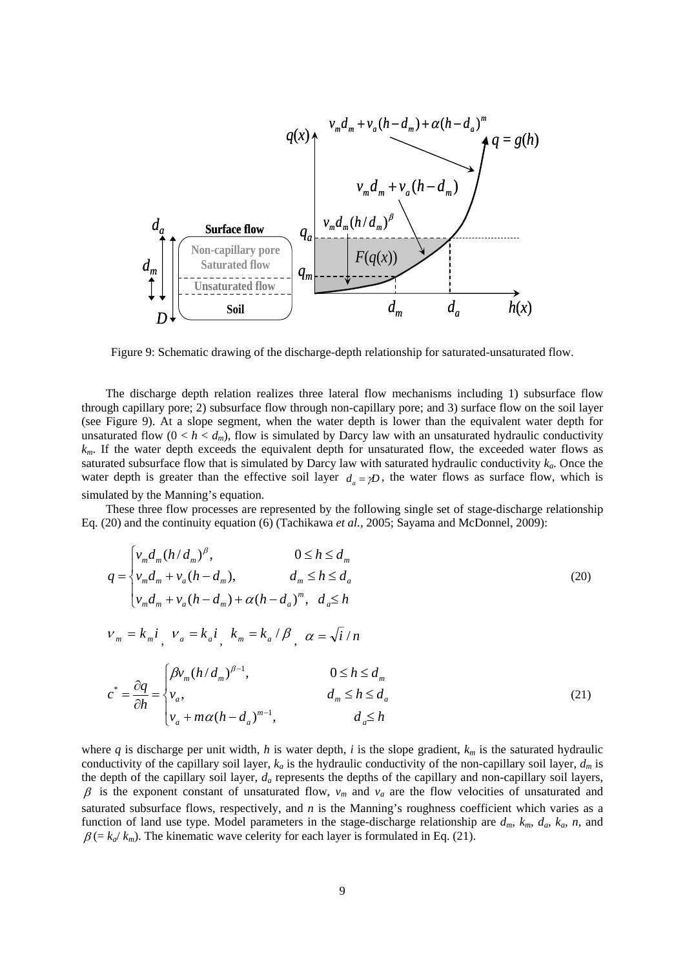

Figure 9: Schematic drawing of the discharge-depth relationship for saturated-unsaturated flow.

The discharge depth relation realizes three lateral flow mechanisms including 1) subsurface flow through capillary pore; 2) subsurface flow through non-capillary pore; and 3) surface flow on the soil layer (see Figure 9). At a slope segment, when the water depth is lower than the equivalent water depth for unsaturated flow  $(0 < h < d_m)$ , flow is simulated by Darcy law with an unsaturated hydraulic conductivity *km*. If the water depth exceeds the equivalent depth for unsaturated flow, the exceeded water flows as saturated subsurface flow that is simulated by Darcy law with saturated hydraulic conductivity  $k_a$ . Once the water depth is greater than the effective soil layer  $d_a = \gamma D$ , the water flows as surface flow, which is simulated by the Manning's equation.

These three flow processes are represented by the following single set of stage-discharge relationship Eq. (20) and the continuity equation (6) (Tachikawa *et al.*, 2005; Sayama and McDonnel, 2009):

$$
q = \begin{cases} v_m d_m (h/d_m)^{\beta}, & 0 \le h \le d_m \\ v_m d_m + v_a (h - d_m), & d_m \le h \le d_a \\ v_m d_m + v_a (h - d_m) + \alpha (h - d_a)^m, & d_a \le h \end{cases}
$$
\n
$$
v_m = k_m i, \quad v_a = k_a i, \quad k_m = k_a / \beta, \quad \alpha = \sqrt{i} / n
$$
\n
$$
c^* = \frac{\partial q}{\partial h} = \begin{cases} \beta v_m (h/d_m)^{\beta - 1}, & 0 \le h \le d_m \\ v_a, & d_m \le h \le d_a \\ v_a + m \alpha (h - d_a)^{m - 1}, & d_a \le h \end{cases}
$$
\n(21)

where *q* is discharge per unit width, *h* is water depth, *i* is the slope gradient,  $k_m$  is the saturated hydraulic conductivity of the capillary soil layer,  $k_a$  is the hydraulic conductivity of the non-capillary soil layer,  $d_m$  is the depth of the capillary soil layer,  $d_a$  represents the depths of the capillary and non-capillary soil layers,  $\beta$  is the exponent constant of unsaturated flow,  $v_m$  and  $v_a$  are the flow velocities of unsaturated and saturated subsurface flows, respectively, and *n* is the Manning's roughness coefficient which varies as a function of land use type. Model parameters in the stage-discharge relationship are  $d_m$ ,  $k_m$ ,  $d_a$ ,  $k_a$ ,  $n$ , and  $\beta$  (=  $k_a/k_m$ ). The kinematic wave celerity for each layer is formulated in Eq. (21).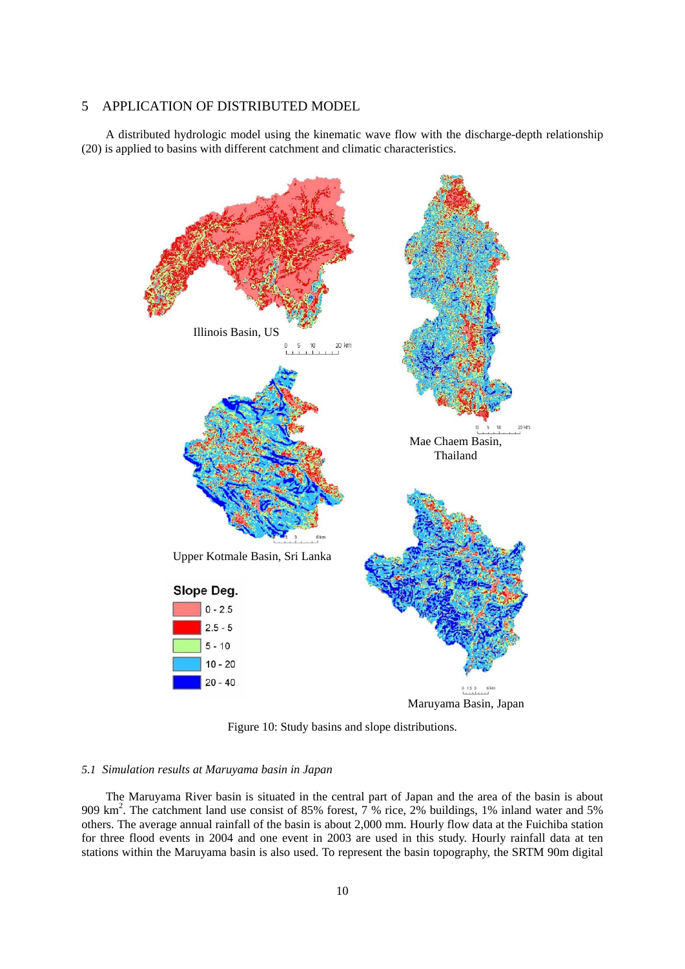# 5 APPLICATION OF DISTRIBUTED MODEL

A distributed hydrologic model using the kinematic wave flow with the discharge-depth relationship (20) is applied to basins with different catchment and climatic characteristics.



Figure 10: Study basins and slope distributions.

### *5.1 Simulation results at Maruyama basin in Japan*

The Maruyama River basin is situated in the central part of Japan and the area of the basin is about 909 km<sup>2</sup>. The catchment land use consist of 85% forest, 7 % rice, 2% buildings, 1% inland water and 5% others. The average annual rainfall of the basin is about 2,000 mm. Hourly flow data at the Fuichiba station for three flood events in 2004 and one event in 2003 are used in this study. Hourly rainfall data at ten stations within the Maruyama basin is also used. To represent the basin topography, the SRTM 90m digital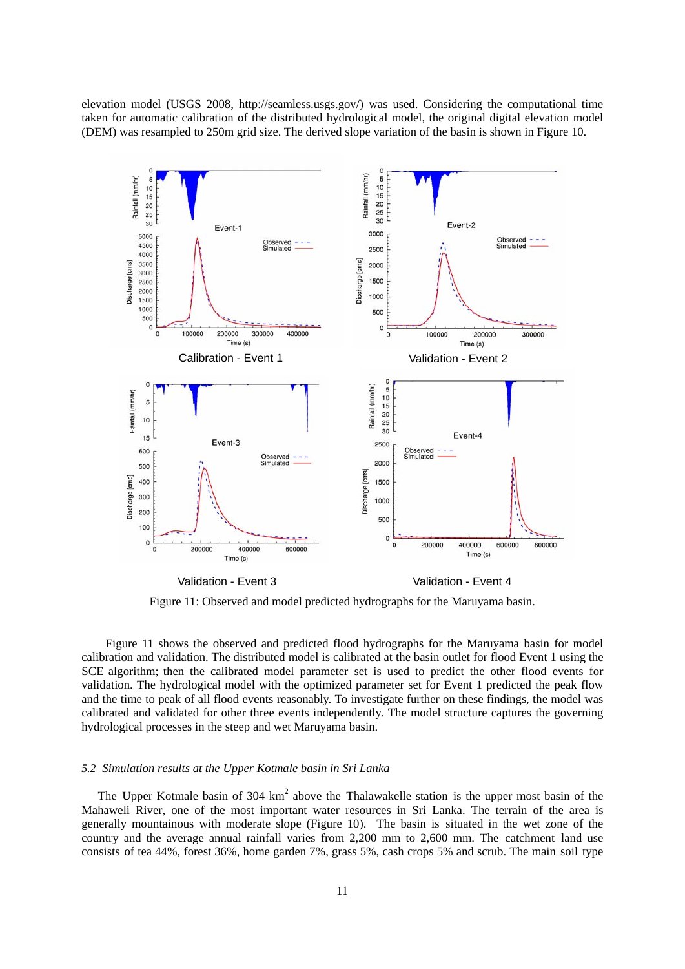elevation model (USGS 2008, http://seamless.usgs.gov/) was used. Considering the computational time taken for automatic calibration of the distributed hydrological model, the original digital elevation model (DEM) was resampled to 250m grid size. The derived slope variation of the basin is shown in Figure 10.



Figure 11: Observed and model predicted hydrographs for the Maruyama basin.

Figure 11 shows the observed and predicted flood hydrographs for the Maruyama basin for model calibration and validation. The distributed model is calibrated at the basin outlet for flood Event 1 using the SCE algorithm; then the calibrated model parameter set is used to predict the other flood events for validation. The hydrological model with the optimized parameter set for Event 1 predicted the peak flow and the time to peak of all flood events reasonably. To investigate further on these findings, the model was calibrated and validated for other three events independently. The model structure captures the governing hydrological processes in the steep and wet Maruyama basin.

### *5.2 Simulation results at the Upper Kotmale basin in Sri Lanka*

The Upper Kotmale basin of  $304 \text{ km}^2$  above the Thalawakelle station is the upper most basin of the Mahaweli River, one of the most important water resources in Sri Lanka. The terrain of the area is generally mountainous with moderate slope (Figure 10). The basin is situated in the wet zone of the country and the average annual rainfall varies from 2,200 mm to 2,600 mm. The catchment land use consists of tea 44%, forest 36%, home garden 7%, grass 5%, cash crops 5% and scrub. The main soil type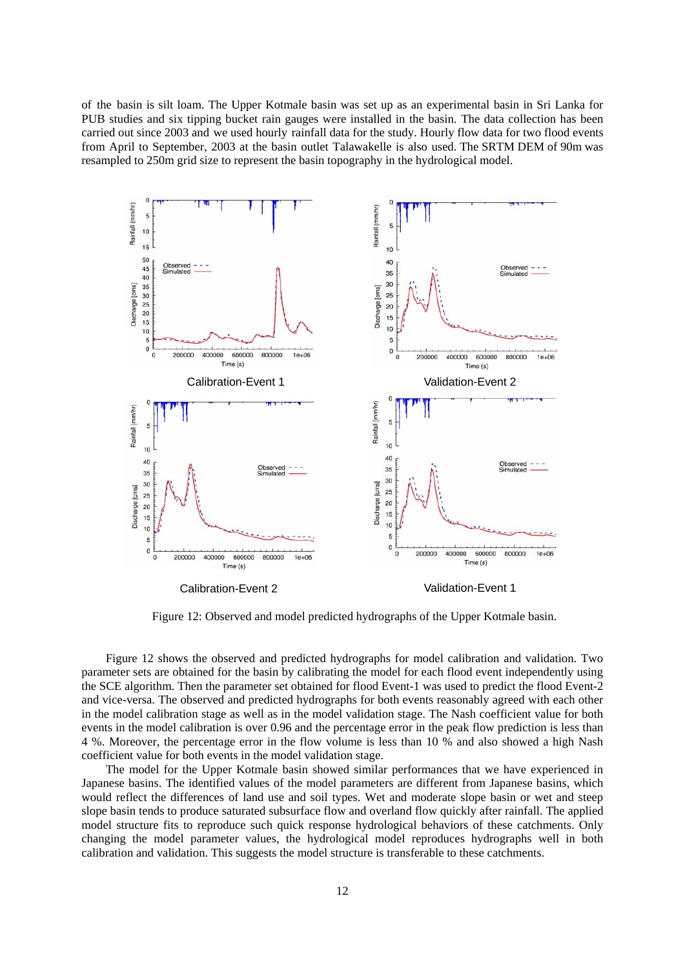of the basin is silt loam. The Upper Kotmale basin was set up as an experimental basin in Sri Lanka for PUB studies and six tipping bucket rain gauges were installed in the basin. The data collection has been carried out since 2003 and we used hourly rainfall data for the study. Hourly flow data for two flood events from April to September, 2003 at the basin outlet Talawakelle is also used. The SRTM DEM of 90m was resampled to 250m grid size to represent the basin topography in the hydrological model.



Figure 12: Observed and model predicted hydrographs of the Upper Kotmale basin.

Figure 12 shows the observed and predicted hydrographs for model calibration and validation. Two parameter sets are obtained for the basin by calibrating the model for each flood event independently using the SCE algorithm. Then the parameter set obtained for flood Event-1 was used to predict the flood Event-2 and vice-versa. The observed and predicted hydrographs for both events reasonably agreed with each other in the model calibration stage as well as in the model validation stage. The Nash coefficient value for both events in the model calibration is over 0.96 and the percentage error in the peak flow prediction is less than 4 %. Moreover, the percentage error in the flow volume is less than 10 % and also showed a high Nash coefficient value for both events in the model validation stage.

The model for the Upper Kotmale basin showed similar performances that we have experienced in Japanese basins. The identified values of the model parameters are different from Japanese basins, which would reflect the differences of land use and soil types. Wet and moderate slope basin or wet and steep slope basin tends to produce saturated subsurface flow and overland flow quickly after rainfall. The applied model structure fits to reproduce such quick response hydrological behaviors of these catchments. Only changing the model parameter values, the hydrological model reproduces hydrographs well in both calibration and validation. This suggests the model structure is transferable to these catchments.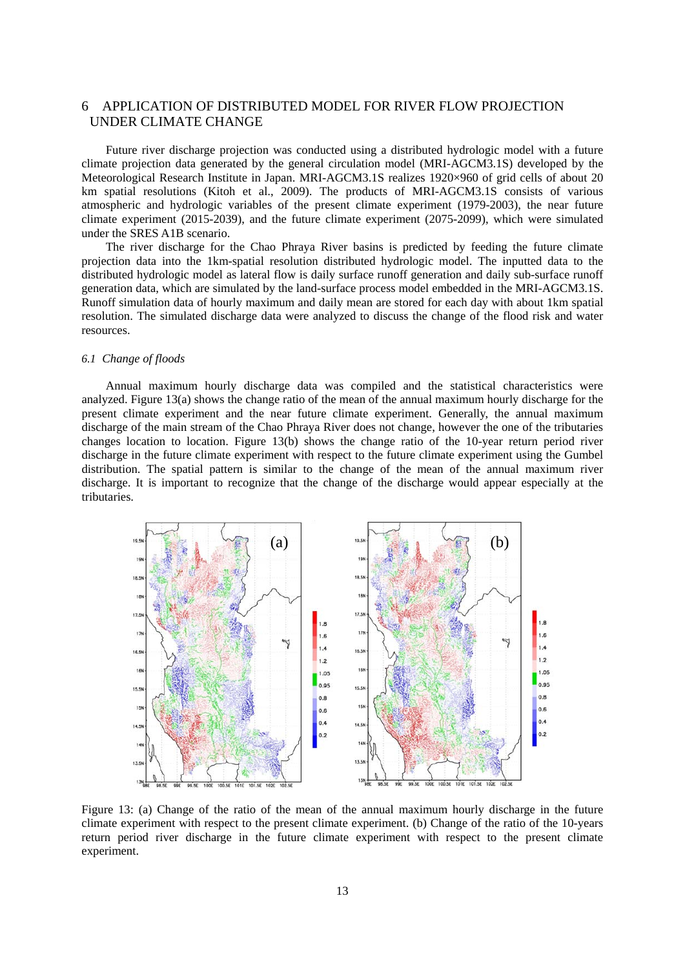# 6 APPLICATION OF DISTRIBUTED MODEL FOR RIVER FLOW PROJECTION UNDER CLIMATE CHANGE

Future river discharge projection was conducted using a distributed hydrologic model with a future climate projection data generated by the general circulation model (MRI-AGCM3.1S) developed by the Meteorological Research Institute in Japan. MRI-AGCM3.1S realizes 1920×960 of grid cells of about 20 km spatial resolutions (Kitoh et al., 2009). The products of MRI-AGCM3.1S consists of various atmospheric and hydrologic variables of the present climate experiment (1979-2003), the near future climate experiment (2015-2039), and the future climate experiment (2075-2099), which were simulated under the SRES A1B scenario.

The river discharge for the Chao Phraya River basins is predicted by feeding the future climate projection data into the 1km-spatial resolution distributed hydrologic model. The inputted data to the distributed hydrologic model as lateral flow is daily surface runoff generation and daily sub-surface runoff generation data, which are simulated by the land-surface process model embedded in the MRI-AGCM3.1S. Runoff simulation data of hourly maximum and daily mean are stored for each day with about 1km spatial resolution. The simulated discharge data were analyzed to discuss the change of the flood risk and water resources.

#### *6.1 Change of floods*

Annual maximum hourly discharge data was compiled and the statistical characteristics were analyzed. Figure 13(a) shows the change ratio of the mean of the annual maximum hourly discharge for the present climate experiment and the near future climate experiment. Generally, the annual maximum discharge of the main stream of the Chao Phraya River does not change, however the one of the tributaries changes location to location. Figure 13(b) shows the change ratio of the 10-year return period river discharge in the future climate experiment with respect to the future climate experiment using the Gumbel distribution. The spatial pattern is similar to the change of the mean of the annual maximum river discharge. It is important to recognize that the change of the discharge would appear especially at the tributaries.



Figure 13: (a) Change of the ratio of the mean of the annual maximum hourly discharge in the future climate experiment with respect to the present climate experiment. (b) Change of the ratio of the 10-years return period river discharge in the future climate experiment with respect to the present climate experiment.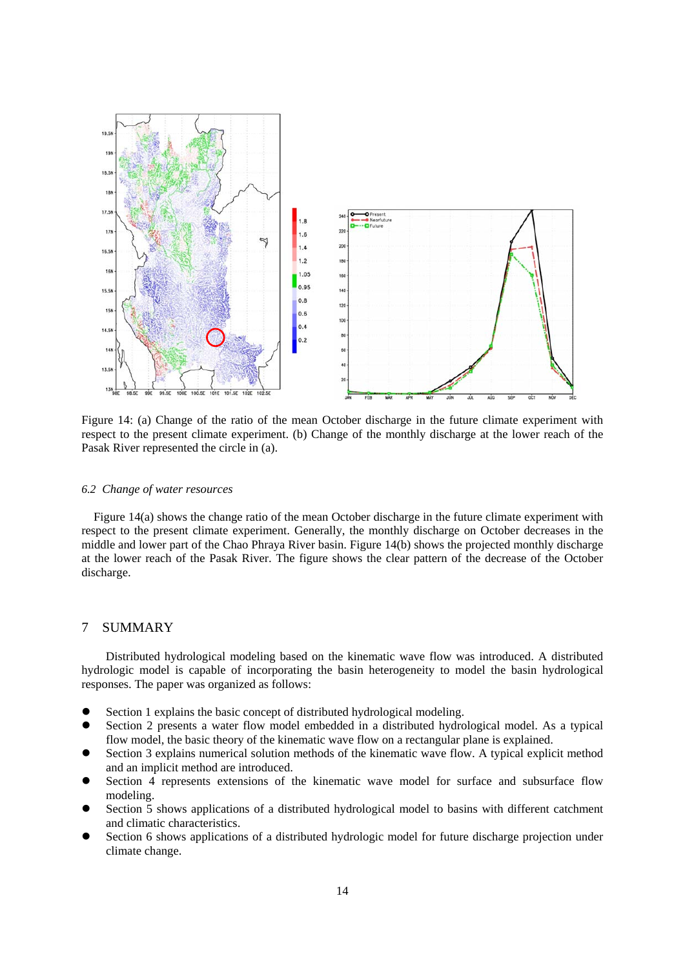

Figure 14: (a) Change of the ratio of the mean October discharge in the future climate experiment with respect to the present climate experiment. (b) Change of the monthly discharge at the lower reach of the Pasak River represented the circle in (a).

#### *6.2 Change of water resources*

Figure 14(a) shows the change ratio of the mean October discharge in the future climate experiment with respect to the present climate experiment. Generally, the monthly discharge on October decreases in the middle and lower part of the Chao Phraya River basin. Figure 14(b) shows the projected monthly discharge at the lower reach of the Pasak River. The figure shows the clear pattern of the decrease of the October discharge.

#### 7 SUMMARY

 Distributed hydrological modeling based on the kinematic wave flow was introduced. A distributed hydrologic model is capable of incorporating the basin heterogeneity to model the basin hydrological responses. The paper was organized as follows:

- Section 1 explains the basic concept of distributed hydrological modeling.
- Section 2 presents a water flow model embedded in a distributed hydrological model. As a typical flow model, the basic theory of the kinematic wave flow on a rectangular plane is explained.
- Section 3 explains numerical solution methods of the kinematic wave flow. A typical explicit method and an implicit method are introduced.
- Section 4 represents extensions of the kinematic wave model for surface and subsurface flow modeling.
- Section 5 shows applications of a distributed hydrological model to basins with different catchment and climatic characteristics.
- Section 6 shows applications of a distributed hydrologic model for future discharge projection under climate change.